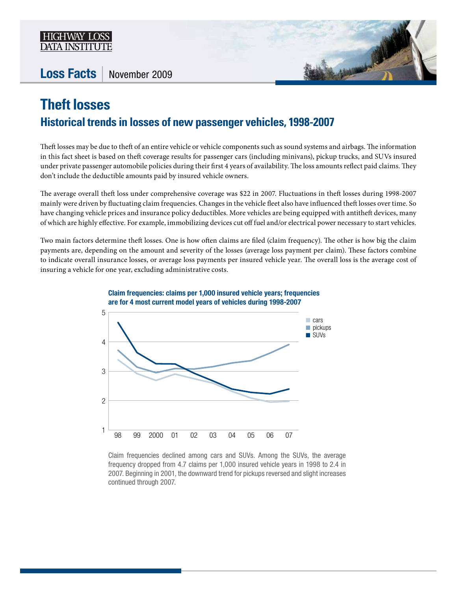

## Loss Facts | November 2009



## **Theft losses Historical trends in losses of new passenger vehicles, 1998-2007**

Theft losses may be due to theft of an entire vehicle or vehicle components such as sound systems and airbags. The information in this fact sheet is based on theft coverage results for passenger cars (including minivans), pickup trucks, and SUVs insured under private passenger automobile policies during their first 4 years of availability. The loss amounts reflect paid claims. They don't include the deductible amounts paid by insured vehicle owners.

The average overall theft loss under comprehensive coverage was \$22 in 2007. Fluctuations in theft losses during 1998-2007 mainly were driven by fluctuating claim frequencies. Changes in the vehicle fleet also have influenced theft losses over time. So have changing vehicle prices and insurance policy deductibles. More vehicles are being equipped with antitheft devices, many of which are highly effective. For example, immobilizing devices cut off fuel and/or electrical power necessary to start vehicles.

Two main factors determine theft losses. One is how often claims are filed (claim frequency). The other is how big the claim payments are, depending on the amount and severity of the losses (average loss payment per claim). These factors combine to indicate overall insurance losses, or average loss payments per insured vehicle year. The overall loss is the average cost of insuring a vehicle for one year, excluding administrative costs.



Claim frequencies: claims per 1,000 insured vehicle years; frequencies

Claim frequencies declined among cars and SUVs. Among the SUVs, the average frequency dropped from 4.7 claims per 1,000 insured vehicle years in 1998 to 2.4 in 2007. Beginning in 2001, the downward trend for pickups reversed and slight increases continued through 2007.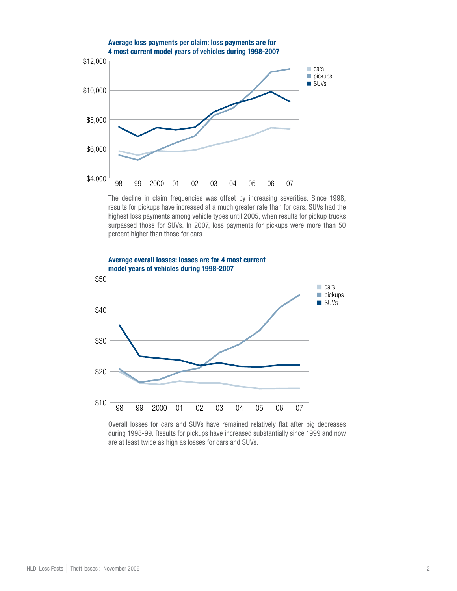

The decline in claim frequencies was offset by increasing severities. Since 1998, results for pickups have increased at a much greater rate than for cars. SUVs had the highest loss payments among vehicle types until 2005, when results for pickup trucks surpassed those for SUVs. In 2007, loss payments for pickups were more than 50 percent higher than those for cars.



Overall losses for cars and SUVs have remained relatively flat after big decreases during 1998-99. Results for pickups have increased substantially since 1999 and now are at least twice as high as losses for cars and SUVs.